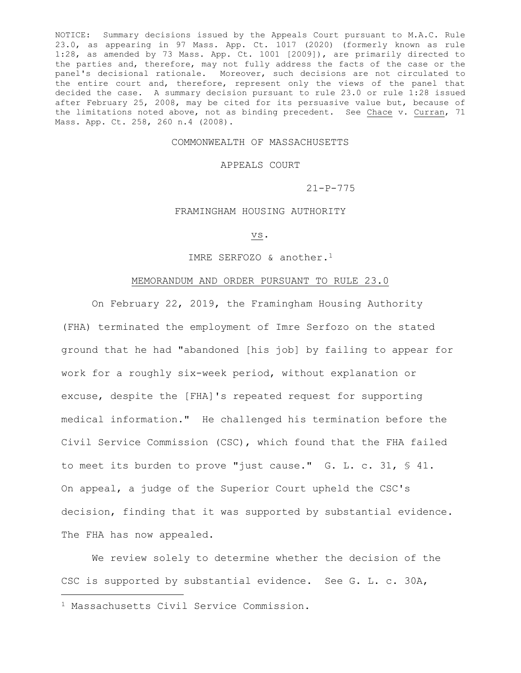NOTICE: Summary decisions issued by the Appeals Court pursuant to M.A.C. Rule 23.0, as appearing in 97 Mass. App. Ct. 1017 (2020) (formerly known as rule 1:28, as amended by 73 Mass. App. Ct. 1001 [2009]), are primarily directed to the parties and, therefore, may not fully address the facts of the case or the panel's decisional rationale. Moreover, such decisions are not circulated to the entire court and, therefore, represent only the views of the panel that decided the case. A summary decision pursuant to rule 23.0 or rule 1:28 issued after February 25, 2008, may be cited for its persuasive value but, because of the limitations noted above, not as binding precedent. See Chace v. Curran, 71 Mass. App. Ct. 258, 260 n.4 (2008).

## COMMONWEALTH OF MASSACHUSETTS

## APPEALS COURT

21-P-775

## FRAMINGHAM HOUSING AUTHORITY

vs.

IMRE SERFOZO & another.<sup>1</sup>

## MEMORANDUM AND ORDER PURSUANT TO RULE 23.0

On February 22, 2019, the Framingham Housing Authority (FHA) terminated the employment of Imre Serfozo on the stated ground that he had "abandoned [his job] by failing to appear for work for a roughly six-week period, without explanation or excuse, despite the [FHA]'s repeated request for supporting medical information." He challenged his termination before the Civil Service Commission (CSC), which found that the FHA failed to meet its burden to prove "just cause." G. L. c. 31, § 41. On appeal, a judge of the Superior Court upheld the CSC's decision, finding that it was supported by substantial evidence. The FHA has now appealed.

We review solely to determine whether the decision of the CSC is supported by substantial evidence. See G. L. c. 30A,

<sup>1</sup> Massachusetts Civil Service Commission.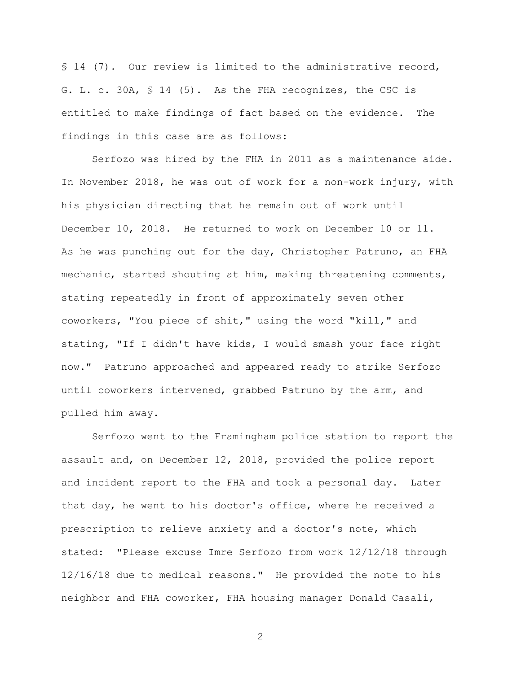§ 14 (7). Our review is limited to the administrative record, G. L. c. 30A, § 14 (5). As the FHA recognizes, the CSC is entitled to make findings of fact based on the evidence. The findings in this case are as follows:

Serfozo was hired by the FHA in 2011 as a maintenance aide. In November 2018, he was out of work for a non-work injury, with his physician directing that he remain out of work until December 10, 2018. He returned to work on December 10 or 11. As he was punching out for the day, Christopher Patruno, an FHA mechanic, started shouting at him, making threatening comments, stating repeatedly in front of approximately seven other coworkers, "You piece of shit," using the word "kill," and stating, "If I didn't have kids, I would smash your face right now." Patruno approached and appeared ready to strike Serfozo until coworkers intervened, grabbed Patruno by the arm, and pulled him away.

Serfozo went to the Framingham police station to report the assault and, on December 12, 2018, provided the police report and incident report to the FHA and took a personal day. Later that day, he went to his doctor's office, where he received a prescription to relieve anxiety and a doctor's note, which stated: "Please excuse Imre Serfozo from work 12/12/18 through 12/16/18 due to medical reasons." He provided the note to his neighbor and FHA coworker, FHA housing manager Donald Casali,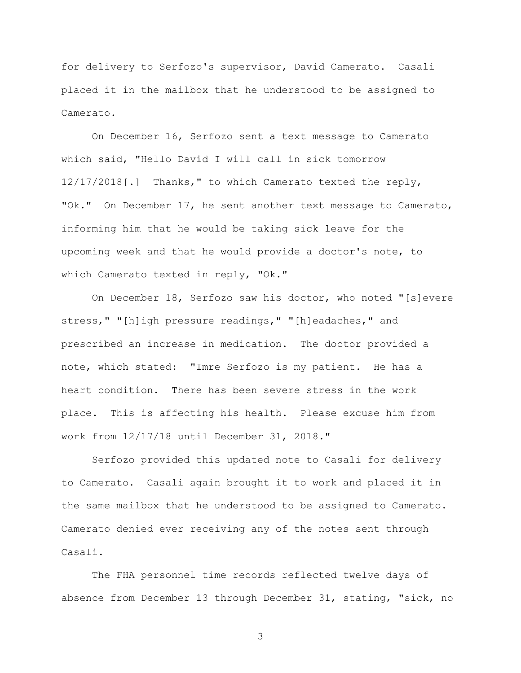for delivery to Serfozo's supervisor, David Camerato. Casali placed it in the mailbox that he understood to be assigned to Camerato.

On December 16, Serfozo sent a text message to Camerato which said, "Hello David I will call in sick tomorrow 12/17/2018[.] Thanks," to which Camerato texted the reply, "Ok." On December 17, he sent another text message to Camerato, informing him that he would be taking sick leave for the upcoming week and that he would provide a doctor's note, to which Camerato texted in reply, "Ok."

On December 18, Serfozo saw his doctor, who noted "[s]evere stress," "[h]igh pressure readings," "[h]eadaches," and prescribed an increase in medication. The doctor provided a note, which stated: "Imre Serfozo is my patient. He has a heart condition. There has been severe stress in the work place. This is affecting his health. Please excuse him from work from 12/17/18 until December 31, 2018."

Serfozo provided this updated note to Casali for delivery to Camerato. Casali again brought it to work and placed it in the same mailbox that he understood to be assigned to Camerato. Camerato denied ever receiving any of the notes sent through Casali.

The FHA personnel time records reflected twelve days of absence from December 13 through December 31, stating, "sick, no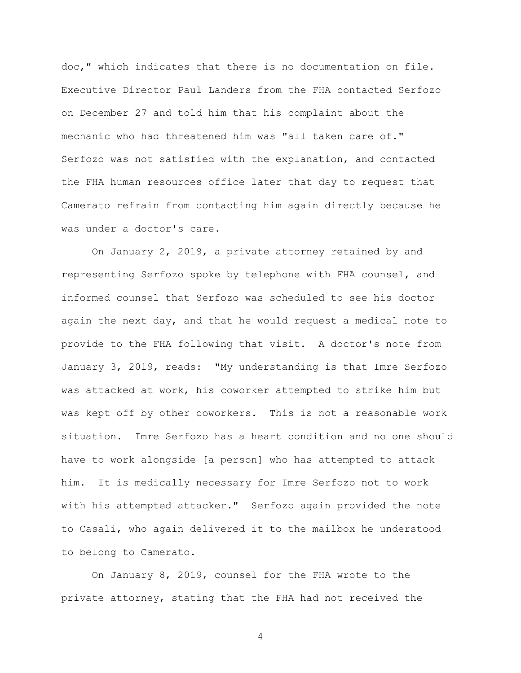doc," which indicates that there is no documentation on file. Executive Director Paul Landers from the FHA contacted Serfozo on December 27 and told him that his complaint about the mechanic who had threatened him was "all taken care of." Serfozo was not satisfied with the explanation, and contacted the FHA human resources office later that day to request that Camerato refrain from contacting him again directly because he was under a doctor's care.

On January 2, 2019, a private attorney retained by and representing Serfozo spoke by telephone with FHA counsel, and informed counsel that Serfozo was scheduled to see his doctor again the next day, and that he would request a medical note to provide to the FHA following that visit. A doctor's note from January 3, 2019, reads: "My understanding is that Imre Serfozo was attacked at work, his coworker attempted to strike him but was kept off by other coworkers. This is not a reasonable work situation. Imre Serfozo has a heart condition and no one should have to work alongside [a person] who has attempted to attack him. It is medically necessary for Imre Serfozo not to work with his attempted attacker." Serfozo again provided the note to Casali, who again delivered it to the mailbox he understood to belong to Camerato.

On January 8, 2019, counsel for the FHA wrote to the private attorney, stating that the FHA had not received the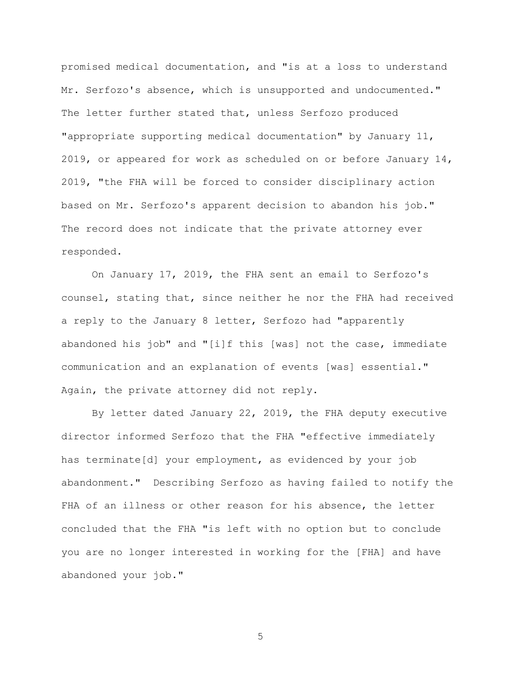promised medical documentation, and "is at a loss to understand Mr. Serfozo's absence, which is unsupported and undocumented." The letter further stated that, unless Serfozo produced "appropriate supporting medical documentation" by January 11, 2019, or appeared for work as scheduled on or before January 14, 2019, "the FHA will be forced to consider disciplinary action based on Mr. Serfozo's apparent decision to abandon his job." The record does not indicate that the private attorney ever responded.

On January 17, 2019, the FHA sent an email to Serfozo's counsel, stating that, since neither he nor the FHA had received a reply to the January 8 letter, Serfozo had "apparently abandoned his job" and "[i]f this [was] not the case, immediate communication and an explanation of events [was] essential." Again, the private attorney did not reply.

By letter dated January 22, 2019, the FHA deputy executive director informed Serfozo that the FHA "effective immediately has terminate[d] your employment, as evidenced by your job abandonment." Describing Serfozo as having failed to notify the FHA of an illness or other reason for his absence, the letter concluded that the FHA "is left with no option but to conclude you are no longer interested in working for the [FHA] and have abandoned your job."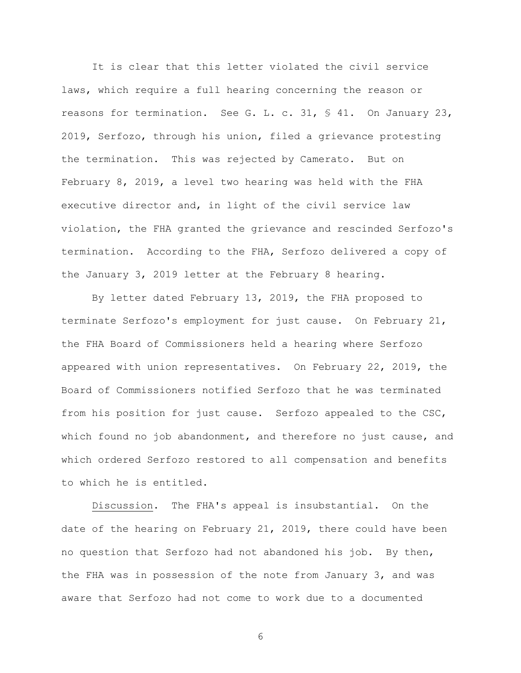It is clear that this letter violated the civil service laws, which require a full hearing concerning the reason or reasons for termination. See G. L. c. 31, § 41. On January 23, 2019, Serfozo, through his union, filed a grievance protesting the termination. This was rejected by Camerato. But on February 8, 2019, a level two hearing was held with the FHA executive director and, in light of the civil service law violation, the FHA granted the grievance and rescinded Serfozo's termination. According to the FHA, Serfozo delivered a copy of the January 3, 2019 letter at the February 8 hearing.

By letter dated February 13, 2019, the FHA proposed to terminate Serfozo's employment for just cause. On February 21, the FHA Board of Commissioners held a hearing where Serfozo appeared with union representatives. On February 22, 2019, the Board of Commissioners notified Serfozo that he was terminated from his position for just cause. Serfozo appealed to the CSC, which found no job abandonment, and therefore no just cause, and which ordered Serfozo restored to all compensation and benefits to which he is entitled.

Discussion. The FHA's appeal is insubstantial. On the date of the hearing on February 21, 2019, there could have been no question that Serfozo had not abandoned his job. By then, the FHA was in possession of the note from January 3, and was aware that Serfozo had not come to work due to a documented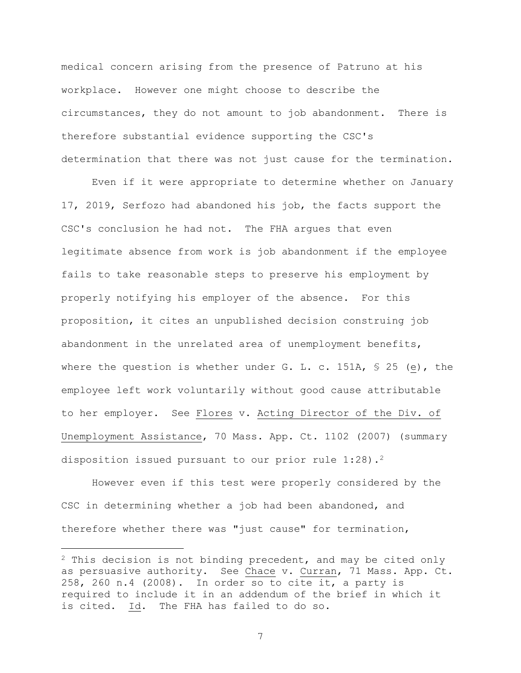medical concern arising from the presence of Patruno at his workplace. However one might choose to describe the circumstances, they do not amount to job abandonment. There is therefore substantial evidence supporting the CSC's determination that there was not just cause for the termination.

Even if it were appropriate to determine whether on January 17, 2019, Serfozo had abandoned his job, the facts support the CSC's conclusion he had not. The FHA argues that even legitimate absence from work is job abandonment if the employee fails to take reasonable steps to preserve his employment by properly notifying his employer of the absence. For this proposition, it cites an unpublished decision construing job abandonment in the unrelated area of unemployment benefits, where the question is whether under G. L. c. 151A,  $\frac{1}{5}$  25 (e), the employee left work voluntarily without good cause attributable to her employer. See Flores v. Acting Director of the Div. of Unemployment Assistance, 70 Mass. App. Ct. 1102 (2007) (summary disposition issued pursuant to our prior rule  $1:28$ ).<sup>2</sup>

However even if this test were properly considered by the CSC in determining whether a job had been abandoned, and therefore whether there was "just cause" for termination,

<sup>&</sup>lt;sup>2</sup> This decision is not binding precedent, and may be cited only as persuasive authority. See Chace v. Curran, 71 Mass. App. Ct. 258, 260 n.4 (2008). In order so to cite it, a party is required to include it in an addendum of the brief in which it is cited. Id. The FHA has failed to do so.